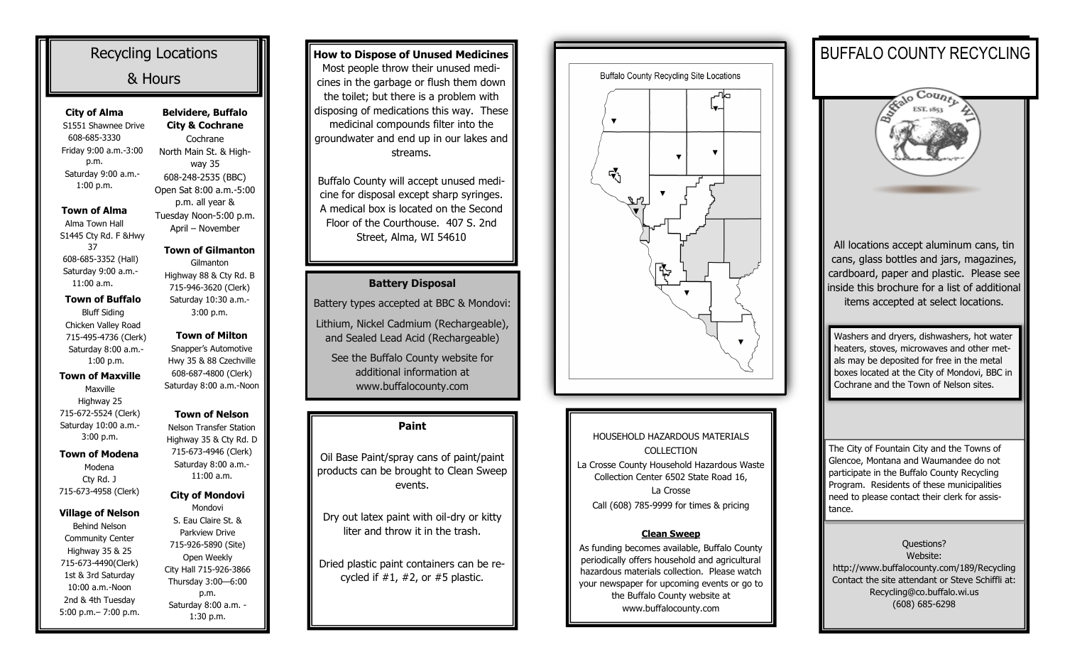| <b>Recycling Locations</b>                  |                                                         |  |
|---------------------------------------------|---------------------------------------------------------|--|
| & Hours                                     |                                                         |  |
| <b>City of Alma</b><br>S1551 Shawnee Drive  | <b>Belvidere, Buffalo</b><br><b>City &amp; Cochrane</b> |  |
| 608-685-3330                                | Cochrane                                                |  |
| Friday 9:00 a.m.-3:00<br>p.m.               | North Main St. & High-                                  |  |
| Saturday 9:00 a.m.-                         | way 35                                                  |  |
| 1:00 p.m.                                   | 608-248-2535 (BBC)                                      |  |
|                                             | Open Sat 8:00 a.m.-5:00<br>p.m. all year &              |  |
| Town of Alma                                | Tuesday Noon-5:00 p.m.                                  |  |
| Alma Town Hall                              | April - November                                        |  |
| S1445 Cty Rd. F &Hwy                        |                                                         |  |
| 37                                          | <b>Town of Gilmanton</b>                                |  |
| 608-685-3352 (Hall)                         | Gilmanton                                               |  |
| Saturday 9:00 a.m.-<br>$11:00$ a.m.         | Highway 88 & Cty Rd. B                                  |  |
|                                             | 715-946-3620 (Clerk)                                    |  |
| <b>Town of Buffalo</b>                      | Saturday 10:30 a.m.-                                    |  |
| <b>Bluff Siding</b>                         | 3:00 p.m.                                               |  |
| Chicken Valley Road                         | <b>Town of Milton</b>                                   |  |
| 715-495-4736 (Clerk)<br>Saturday 8:00 a.m.- | Snapper's Automotive                                    |  |
| 1:00 p.m.                                   | Hwy 35 & 88 Czechville                                  |  |
| <b>Town of Maxville</b>                     | 608-687-4800 (Clerk)                                    |  |
| Maxville                                    | Saturday 8:00 a.m.-Noon                                 |  |
| Highway 25                                  |                                                         |  |
| 715-672-5524 (Clerk)                        | <b>Town of Nelson</b>                                   |  |
| Saturday 10:00 a.m.-                        | <b>Nelson Transfer Station</b>                          |  |
| 3:00 p.m.                                   | Highway 35 & Cty Rd. D                                  |  |
| <b>Town of Modena</b>                       | 715-673-4946 (Clerk)                                    |  |
| Modena                                      | Saturday 8:00 a.m.-                                     |  |
| Cty Rd. J                                   | 11:00 a.m.                                              |  |
| 715-673-4958 (Clerk)                        | <b>City of Mondovi</b>                                  |  |
|                                             | Mondovi                                                 |  |
| Village of Nelson                           | S. Eau Claire St. &                                     |  |
| <b>Behind Nelson</b>                        | <b>Parkview Drive</b>                                   |  |
| <b>Community Center</b>                     |                                                         |  |
|                                             | 715-926-5890 (Site)                                     |  |
| Highway 35 & 25                             | Open Weekly                                             |  |
| 715-673-4490(Clerk)                         | City Hall 715-926-3866                                  |  |
| 1st & 3rd Saturday                          | Thursday 3:00-6:00                                      |  |
| 10:00 a.m.-Noon<br>2nd & 4th Tuesday        | p.m.<br>Saturday 8:00 a.m. -                            |  |

**How to Dispose of Unused Medicines** Most people throw their unused medicines in the garbage or flush them down the toilet; but there is a problem with disposing of medications this way. These medicinal compounds filter into the groundwater and end up in our lakes and streams.

Buffalo County will accept unused medicine for disposal except sharp syringes. A medical box is located on the Second Floor of the Courthouse. 407 S. 2nd Street, Alma, WI 54610

## **Battery Disposal**

Battery types accepted at BBC & Mondovi: Lithium, Nickel Cadmium (Rechargeable), and Sealed Lead Acid (Rechargeable)

See the Buffalo County website for additional information at www.buffalocounty.com

## **Paint**

Oil Base Paint/spray cans of paint/paint products can be brought to Clean Sweep events.

Dry out latex paint with oil-dry or kitty liter and throw it in the trash.

Dried plastic paint containers can be recycled if  $#1, #2$ , or  $#5$  plastic.



HOUSEHOLD HAZARDOUS MATERIALS COLLECTION La Crosse County Household Hazardous Waste Collection Center 6502 State Road 16, La Crosse Call (608) 785-9999 for times & pricing

## **Clean Sweep**

As funding becomes available, Buffalo County periodically offers household and agricultural hazardous materials collection. Please watch your newspaper for upcoming events or go to the Buffalo County website at www.buffalocounty.com

## BUFFALO COUNTY RECYCLING



All locations accept aluminum cans, tin cans, glass bottles and jars, magazines, cardboard, paper and plastic. Please see inside this brochure for a list of additional items accepted at select locations.

Washers and dryers, dishwashers, hot water heaters, stoves, microwaves and other metals may be deposited for free in the metal boxes located at the City of Mondovi, BBC in Cochrane and the Town of Nelson sites.

The City of Fountain City and the Towns of Glencoe, Montana and Waumandee do not participate in the Buffalo County Recycling Program. Residents of these municipalities need to please contact their clerk for assistance.

Questions? Website: http://www.buffalocounty.com/189/Recycling Contact the site attendant or Steve Schiffli at: Recycling@co.buffalo.wi.us (608) 685-6298